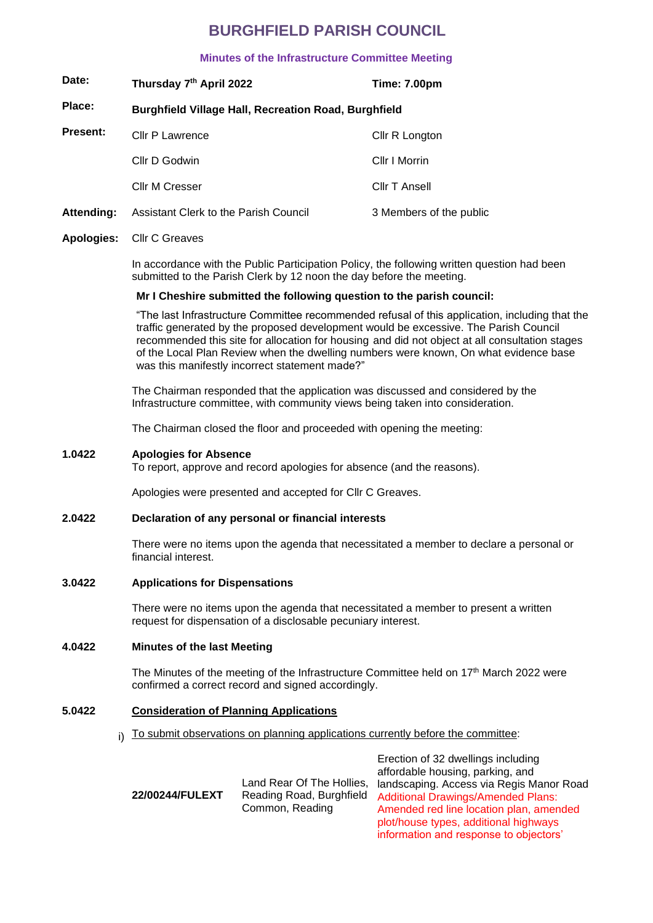## **BURGHFIELD PARISH COUNCIL**

## **Minutes of the Infrastructure Committee Meeting**

| Date:           | Thursday 7th April 2022                                     | Time: 7.00pm            |  |  |
|-----------------|-------------------------------------------------------------|-------------------------|--|--|
| Place:          | <b>Burghfield Village Hall, Recreation Road, Burghfield</b> |                         |  |  |
| <b>Present:</b> | Cllr P Lawrence                                             | Cllr R Longton          |  |  |
|                 | Cllr D Godwin                                               | Cllr I Morrin           |  |  |
|                 | <b>Cllr M Cresser</b>                                       | Cllr T Ansell           |  |  |
| Attending:      | Assistant Clerk to the Parish Council                       | 3 Members of the public |  |  |

#### **Apologies:** Cllr C Greaves

In accordance with the Public Participation Policy, the following written question had been submitted to the Parish Clerk by 12 noon the day before the meeting.

#### **Mr I Cheshire submitted the following question to the parish council:**

"The last Infrastructure Committee recommended refusal of this application, including that the traffic generated by the proposed development would be excessive. The Parish Council recommended this site for allocation for housing and did not object at all consultation stages of the Local Plan Review when the dwelling numbers were known, On what evidence base was this manifestly incorrect statement made?"

The Chairman responded that the application was discussed and considered by the Infrastructure committee, with community views being taken into consideration.

The Chairman closed the floor and proceeded with opening the meeting:

#### **1.0422 Apologies for Absence**

To report, approve and record apologies for absence (and the reasons).

Apologies were presented and accepted for Cllr C Greaves.

#### **2.0422 Declaration of any personal or financial interests**

There were no items upon the agenda that necessitated a member to declare a personal or financial interest.

## **3.0422 Applications for Dispensations**

There were no items upon the agenda that necessitated a member to present a written request for dispensation of a disclosable pecuniary interest.

## **4.0422 Minutes of the last Meeting**

The Minutes of the meeting of the Infrastructure Committee held on 17<sup>th</sup> March 2022 were confirmed a correct record and signed accordingly.

## **5.0422 Consideration of Planning Applications**

i) To submit observations on planning applications currently before the committee:

| 22/00244/FULEXT | Land Rear Of The Hollies, lar<br>Reading Road, Burghfield<br>Common, Reading | aι<br>A<br>Ar |
|-----------------|------------------------------------------------------------------------------|---------------|
|                 |                                                                              |               |

Erection of 32 dwellings including affordable housing, parking, and ndscaping. Access via Regis Manor Road dditional Drawings/Amended Plans: mended red line location plan, amended plot/house types, additional highways information and response to objectors'